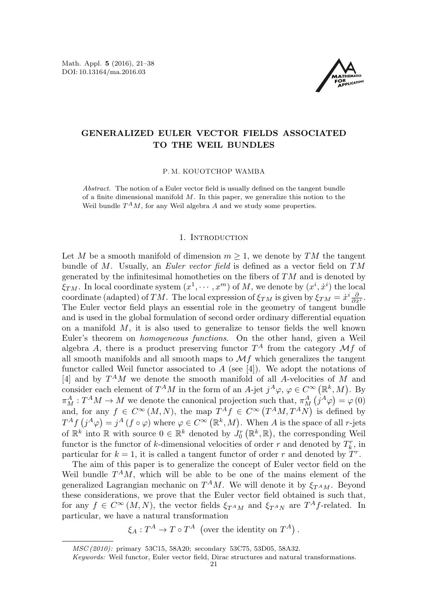

# GENERALIZED EULER VECTOR FIELDS ASSOCIATED TO THE WEIL BUNDLES

P. M. KOUOTCHOP WAMBA

Abstract. The notion of a Euler vector field is usually defined on the tangent bundle of a finite dimensional manifold  $M$ . In this paper, we generalize this notion to the Weil bundle  $T^{A}M$ , for any Weil algebra A and we study some properties.

#### 1. INTRODUCTION

Let M be a smooth manifold of dimension  $m > 1$ , we denote by TM the tangent bundle of  $M$ . Usually, an *Euler vector field* is defined as a vector field on  $TM$ generated by the infinitesimal homotheties on the fibers of  $TM$  and is denoted by  $\xi_{TM}$ . In local coordinate system  $(x^1, \dots, x^m)$  of M, we denote by  $(x^i, \dot{x}^i)$  the local coordinate (adapted) of TM. The local expression of  $\xi_{TM}$  is given by  $\xi_{TM} = \dot{x}^i \frac{\partial}{\partial \dot{x}^i}$ . The Euler vector field plays an essential role in the geometry of tangent bundle and is used in the global formulation of second order ordinary differential equation on a manifold  $M$ , it is also used to generalize to tensor fields the well known Euler's theorem on homogeneous functions. On the other hand, given a Weil algebra A, there is a product preserving functor  $T^A$  from the category  $\mathcal{M}f$  of all smooth manifolds and all smooth maps to  $\mathcal{M}f$  which generalizes the tangent functor called Weil functor associated to  $A$  (see [4]). We adopt the notations of [4] and by  $T^A M$  we denote the smooth manifold of all A-velocities of M and consider each element of  $T^A M$  in the form of an A-jet  $j^A \varphi, \varphi \in C^{\infty}(\mathbb{R}^k, M)$ . By  $\pi_M^A: T^A M \to M$  we denote the canonical projection such that,  $\pi_M^A(j^A \varphi) = \varphi(0)$ and, for any  $f \in C^{\infty}(M, N)$ , the map  $T^{A} f \in C^{\infty}(T^{A}M, T^{A}N)$  is defined by  $T^{A}f(j^{A}\varphi) = j^{A}(f \circ \varphi)$  where  $\varphi \in C^{\infty}(\mathbb{R}^{k}, M)$ . When A is the space of all r-jets of  $\mathbb{R}^k$  into  $\mathbb R$  with source  $0 \in \mathbb{R}^k$  denoted by  $J_0^r(\mathbb{R}^k, \mathbb{R})$ , the corresponding Weil functor is the functor of k-dimensional velocities of order r and denoted by  $T_k^r$ , in particular for  $k = 1$ , it is called a tangent functor of order r and denoted by  $T<sup>r</sup>$ .

The aim of this paper is to generalize the concept of Euler vector field on the Weil bundle  $T^A M$ , which will be able to be one of the mains element of the generalized Lagrangian mechanic on  $T^A M$ . We will denote it by  $\xi_{T^A M}$ . Beyond these considerations, we prove that the Euler vector field obtained is such that, for any  $f \in C^{\infty}(M, N)$ , the vector fields  $\xi_{T^A M}$  and  $\xi_{T^A N}$  are  $T^A f$ -related. In particular, we have a natural transformation

$$
\xi_A: T^A \to T \circ T^A
$$
 (over the identity on  $T^A$ ).

MSC (2010): primary 53C15, 58A20; secondary 53C75, 53D05, 58A32.

Keywords: Weil functor, Euler vector field, Dirac structures and natural transformations.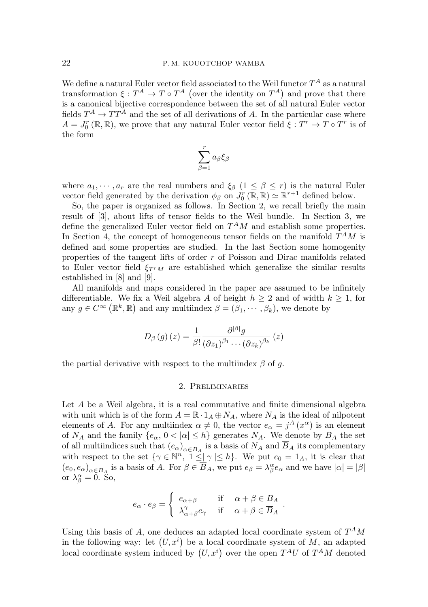We define a natural Euler vector field associated to the Weil functor  $T^A$  as a natural transformation  $\xi: T^A \to T \circ T^A$  (over the identity on  $T^A$ ) and prove that there is a canonical bijective correspondence between the set of all natural Euler vector fields  $T^A \to TT^A$  and the set of all derivations of A. In the particular case where  $A = J_0^r (\mathbb{R}, \mathbb{R})$ , we prove that any natural Euler vector field  $\xi : T^r \to T \circ T^r$  is of the form

$$
\sum_{\beta=1}^r a_\beta \xi_\beta
$$

where  $a_1, \dots, a_r$  are the real numbers and  $\xi_\beta$   $(1 \leq \beta \leq r)$  is the natural Euler vector field generated by the derivation  $\phi_{\beta}$  on  $J_0^r(\mathbb{R}, \mathbb{R}) \simeq \mathbb{R}^{r+1}$  defined below.

So, the paper is organized as follows. In Section 2, we recall briefly the main result of [3], about lifts of tensor fields to the Weil bundle. In Section 3, we define the generalized Euler vector field on  $T^A M$  and establish some properties. In Section 4, the concept of homogeneous tensor fields on the manifold  $T^A M$  is defined and some properties are studied. In the last Section some homogenity properties of the tangent lifts of order r of Poisson and Dirac manifolds related to Euler vector field  $\xi_{T^rM}$  are established which generalize the similar results established in [8] and [9].

All manifolds and maps considered in the paper are assumed to be infinitely differentiable. We fix a Weil algebra A of height  $h \geq 2$  and of width  $k \geq 1$ , for any  $g \in C^{\infty}(\mathbb{R}^k, \mathbb{R})$  and any multiindex  $\beta = (\beta_1, \dots, \beta_k)$ , we denote by

$$
D_{\beta}\left(g\right)\left(z\right)=\frac{1}{\beta!}\frac{\partial^{\left|\beta\right|}g}{\left(\partial z_{1}\right)^{\beta_{1}}\cdots\left(\partial z_{k}\right)^{\beta_{k}}}\left(z\right)
$$

the partial derivative with respect to the multiindex  $\beta$  of g.

## 2. Preliminaries

Let A be a Weil algebra, it is a real commutative and finite dimensional algebra with unit which is of the form  $A = \mathbb{R} \cdot 1_A \oplus N_A$ , where  $N_A$  is the ideal of nilpotent elements of A. For any multiindex  $\alpha \neq 0$ , the vector  $e_{\alpha} = j^{A}(x^{\alpha})$  is an element of  $N_A$  and the family  $\{e_\alpha, 0 < |\alpha| \le h\}$  generates  $N_A$ . We denote by  $B_A$  the set of all multiindices such that  $(e_{\alpha})_{\alpha \in B_A}$  is a basis of  $N_A$  and  $B_A$  its complementary with respect to the set  $\{\gamma \in \mathbb{N}^n, 1 \leq |\gamma| \leq h\}$ . We put  $e_0 = 1_A$ , it is clear that  $(e_0, e_\alpha)_{\alpha \in B_A}$  is a basis of A. For  $\beta \in \overline{B}_A$ , we put  $e_\beta = \lambda_\beta^\alpha e_\alpha$  and we have  $|\alpha| = |\beta|$ or  $\lambda^{\alpha}_{\beta} = 0$ . So,

$$
e_{\alpha} \cdot e_{\beta} = \begin{cases} e_{\alpha+\beta} & \text{if } \alpha + \beta \in B_A \\ \lambda_{\alpha+\beta}^{\gamma} e_{\gamma} & \text{if } \alpha + \beta \in \overline{B}_A \end{cases}
$$

.

Using this basis of A, one deduces an adapted local coordinate system of  $T^A M$ in the following way: let  $(U, x<sup>i</sup>)$  be a local coordinate system of M, an adapted local coordinate system induced by  $(U, x^i)$  over the open  $T^A U$  of  $T^A M$  denoted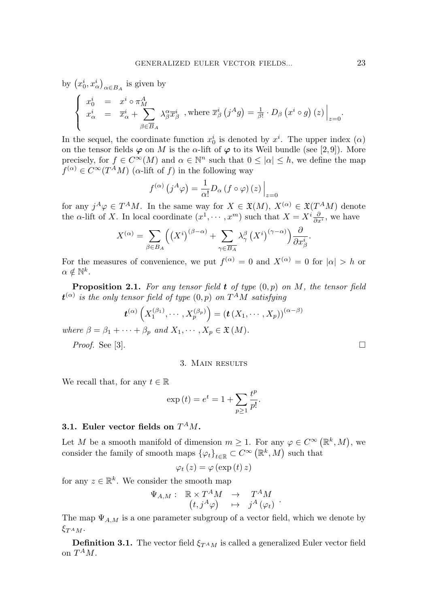by  $(x_0^i, x_\alpha^i)_{\alpha \in B_A}$  is given by

$$
\begin{cases}\n x_0^i = x^i \circ \pi_M^A \\
 x_\alpha^i = \overline{x}_\alpha^i + \sum_{\beta \in \overline{B}_A} \lambda_\beta^\alpha \overline{x}_\beta^i , \text{ where } \overline{x}_\beta^i (j^A g) = \frac{1}{\beta!} \cdot D_\beta (x^i \circ g) (z) \Big|_{z=0}.\n\end{cases}
$$

In the sequel, the coordinate function  $x_0^i$  is denoted by  $x^i$ . The upper index  $(\alpha)$ on the tensor fields  $\varphi$  on M is the  $\alpha$ -lift of  $\varphi$  to its Weil bundle (see [2,9]). More precisely, for  $f \in C^{\infty}(M)$  and  $\alpha \in \mathbb{N}^n$  such that  $0 \leq |\alpha| \leq h$ , we define the map  $f^{(\alpha)} \in C^{\infty}(T^A M)$  ( $\alpha$ -lift of f) in the following way

$$
f^{(\alpha)}\left(j^A\varphi\right) = \frac{1}{\alpha!}D_{\alpha}\left(f\circ\varphi\right)\left(z\right)\Big|_{z=0}
$$

for any  $j^A \varphi \in T^A M$ . In the same way for  $X \in \mathfrak{X}(M)$ ,  $X^{(\alpha)} \in \mathfrak{X}(T^A M)$  denote the  $\alpha$ -lift of X. In local coordinate  $(x^1, \dots, x^m)$  such that  $X = X^i \frac{\partial}{\partial x^i}$ , we have

$$
X^{(\alpha)} = \sum_{\beta \in B_A} \left( \left( X^i \right)^{(\beta - \alpha)} + \sum_{\gamma \in \overline{B_A}} \lambda_{\gamma}^{\beta} \left( X^i \right)^{(\gamma - \alpha)} \right) \frac{\partial}{\partial x_{\beta}^i}.
$$

For the measures of convenience, we put  $f^{(\alpha)} = 0$  and  $X^{(\alpha)} = 0$  for  $|\alpha| > h$  or  $\alpha \notin \mathbb{N}^k$ .

**Proposition 2.1.** For any tensor field  $t$  of type  $(0, p)$  on  $M$ , the tensor field  $\boldsymbol{t}^{(\alpha)}$  is the only tensor field of type  $(0,p)$  on  $T^{A}M$  satisfying

$$
\boldsymbol{t}^{(\alpha)}\left(X_1^{(\beta_1)},\cdots,X_p^{(\beta_p)}\right)=\left(\boldsymbol{t}\left(X_1,\cdots,X_p\right)\right)^{(\alpha-\beta)}
$$

where  $\beta = \beta_1 + \cdots + \beta_p$  and  $X_1, \cdots, X_p \in \mathfrak{X}(M)$ .

*Proof.* See [3].

#### 3. Main results

We recall that, for any  $t \in \mathbb{R}$ 

$$
\exp(t) = e^t = 1 + \sum_{p \ge 1} \frac{t^p}{p!}.
$$

# 3.1. Euler vector fields on  $T^{A}M$ .

Let M be a smooth manifold of dimension  $m \geq 1$ . For any  $\varphi \in C^{\infty}(\mathbb{R}^k, M)$ , we consider the family of smooth maps  $\{\varphi_t\}_{t\in\mathbb{R}} \subset C^{\infty}(\mathbb{R}^k, M)$  such that

$$
\varphi_t(z) = \varphi(\exp(t) z)
$$

for any  $z \in \mathbb{R}^k$ . We consider the smooth map

$$
\Psi_{A,M}: \begin{array}{rcl} \mathbb{R} \times T^{A}M & \to & T^{A}M \\ (t,j^{A}\varphi) & \mapsto & j^{A}\left(\varphi_{t}\right) \end{array}.
$$

The map  $\Psi_{A,M}$  is a one parameter subgroup of a vector field, which we denote by  $\xi_{T^AM}$ .

**Definition 3.1.** The vector field  $\xi_{T^A M}$  is called a generalized Euler vector field on  $T^A M$ .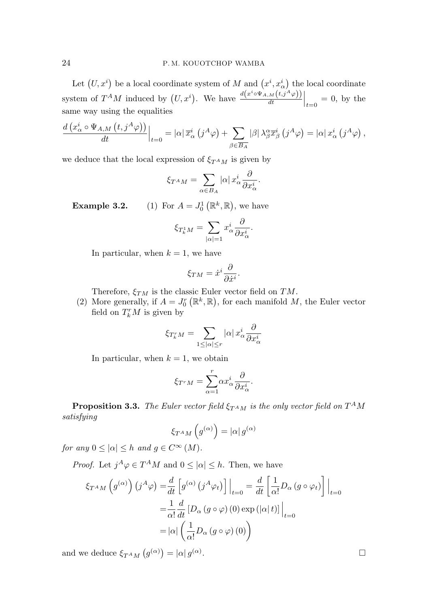Let  $(U, x^i)$  be a local coordinate system of M and  $(x^i, x^i_\alpha)$  the local coordinate system of  $T^{A}M$  induced by  $(U, x^{i})$ . We have  $\frac{d(x^{i} \circ \Psi_{A,M}(t, j^{A}\varphi))}{dt}$  $\frac{M(t,j^A\varphi))}{dt}\Big|_{t=0}=0$ , by the same way using the equalities

$$
\frac{d\left(x_{\alpha}^{i} \circ \Psi_{A,M}\left(t,j^{A}\varphi\right)\right)}{dt}\Big|_{t=0} = |\alpha| \,\overline{x}_{\alpha}^{i}\left(j^{A}\varphi\right) + \sum_{\beta \in \overline{B_{A}}} |\beta| \,\lambda_{\beta}^{\alpha} \overline{x}_{\beta}^{i}\left(j^{A}\varphi\right) = |\alpha| \, x_{\alpha}^{i}\left(j^{A}\varphi\right),
$$

we deduce that the local expression of  $\xi_{T^A M}$  is given by

$$
\xi_{T^AM} = \sum_{\alpha \in B_A} |\alpha| \, x_\alpha^i \frac{\partial}{\partial x_\alpha^i}.
$$

**Example 3.2.** (1) For  $A = J_0^1(\mathbb{R}^k, \mathbb{R})$ , we have

$$
\xi_{T_k^1 M} = \sum_{|\alpha|=1} x_\alpha^i \frac{\partial}{\partial x_\alpha^i}.
$$

In particular, when  $k = 1$ , we have

$$
\xi_{TM} = \dot{x}^i \frac{\partial}{\partial \dot{x}^i}.
$$

Therefore,  $\xi_{TM}$  is the classic Euler vector field on TM.

(2) More generally, if  $A = J_0^r(\mathbb{R}^k, \mathbb{R})$ , for each manifold M, the Euler vector field on  $T_k^rM$  is given by

$$
\xi_{T_k^rM} = \sum_{1 \leq |\alpha| \leq r} |\alpha| \, x_\alpha^i \frac{\partial}{\partial x_\alpha^i}
$$

In particular, when  $k = 1$ , we obtain

$$
\xi_{T^rM} = \sum_{\alpha=1}^r \alpha x_\alpha^i \frac{\partial}{\partial x_\alpha^i}.
$$

**Proposition 3.3.** The Euler vector field  $\xi_{T^A M}$  is the only vector field on  $T^A M$ satisfying

$$
\xi_{T^AM}\left(g^{(\alpha)}\right)=|\alpha|\,g^{(\alpha)}
$$

for any  $0 \leq |\alpha| \leq h$  and  $g \in C^{\infty}(M)$ .

*Proof.* Let  $j^A \varphi \in T^A M$  and  $0 \leq |\alpha| \leq h$ . Then, we have

$$
\xi_{T^A M} \left( g^{(\alpha)} \right) \left( j^A \varphi \right) = \frac{d}{dt} \left[ g^{(\alpha)} \left( j^A \varphi_t \right) \right] \Big|_{t=0} = \frac{d}{dt} \left[ \frac{1}{\alpha!} D_\alpha \left( g \circ \varphi_t \right) \right] \Big|_{t=0}
$$

$$
= \frac{1}{\alpha!} \frac{d}{dt} \left[ D_\alpha \left( g \circ \varphi \right) (0) \exp \left( |\alpha| t \right) \right] \Big|_{t=0}
$$

$$
= |\alpha| \left( \frac{1}{\alpha!} D_\alpha \left( g \circ \varphi \right) (0) \right)
$$

and we deduce  $\xi_{T^A M} (g^{(\alpha)}) = |\alpha| g^{(\alpha)}$ 

. В последните последните последните последните и последните последните последните последните последните после<br>В последните последните последните последните последните последните последните последните последните последнит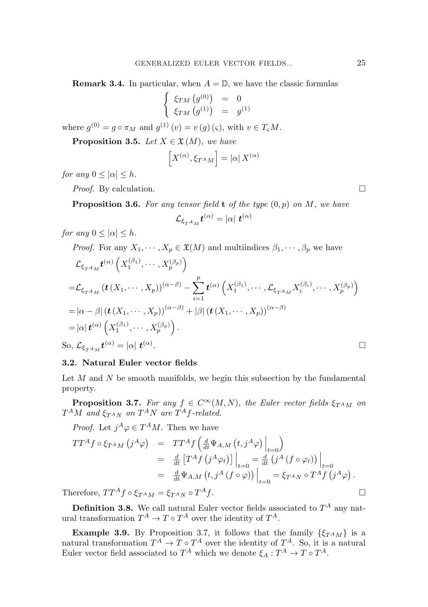**Remark 3.4.** In particular, when  $A = \mathbb{D}$ , we have the classic formulas

$$
\begin{cases} \xi_{TM} (g^{(0)}) = 0 \\ \xi_{TM} (g^{(1)}) = g^{(1)} \end{cases}
$$

where  $g^{(0)} = g \circ \pi_M$  and  $g^{(1)}(v) = v(g)(\varsigma)$ , with  $v \in T_{\varsigma}M$ .

**Proposition 3.5.** Let  $X \in \mathfrak{X}(M)$ , we have

$$
\[X^{(\alpha)}, \xi_{T^A M}\] = |\alpha| \, X^{(\alpha)}
$$

for any  $0 \leq |\alpha| \leq h$ .

Proof. By calculation.

**Proposition 3.6.** For any tensor field **t** of the type  $(0, p)$  on M, we have

$$
\mathcal{L}_{\xi_{T^A M}} \boldsymbol{t}^{(\alpha)} = |\alpha| \hspace{0.1cm} \boldsymbol{t}^{(\alpha)}
$$

for any  $0 \leq |\alpha| \leq h$ .

Proof. For any 
$$
X_1, \dots, X_p \in \mathfrak{X}(M)
$$
 and multimlices  $\beta_1, \dots, \beta_p$  we have  
\n
$$
\mathcal{L}_{\xi_{T^A M}} \mathbf{t}^{(\alpha)} \left( X_1^{(\beta_1)}, \dots, X_p^{(\beta_p)} \right)
$$
\n
$$
= \mathcal{L}_{\xi_{T^A M}} \left( \mathbf{t} \left( X_1, \dots, X_p \right) \right)^{(\alpha - \beta)} - \sum_{i=1}^p \mathbf{t}^{(\alpha)} \left( X_1^{(\beta_1)}, \dots, \mathcal{L}_{\xi_{T^A M}} X_i^{(\beta_i)}, \dots, X_p^{(\beta_p)} \right)
$$
\n
$$
= |\alpha - \beta| \left( \mathbf{t} \left( X_1, \dots, X_p \right) \right)^{(\alpha - \beta)} + |\beta| \left( \mathbf{t} \left( X_1, \dots, X_p \right) \right)^{(\alpha - \beta)}
$$
\n
$$
= |\alpha| \mathbf{t}^{(\alpha)} \left( X_1^{(\beta_1)}, \dots, X_p^{(\beta_p)} \right).
$$
\nSo,  $\mathcal{L}_{\xi_{T^A M}} \mathbf{t}^{(\alpha)} = |\alpha| \mathbf{t}^{(\alpha)}.$ 

## 3.2. Natural Euler vector fields

Let  $M$  and  $N$  be smooth manifolds, we begin this subsection by the fundamental property.

**Proposition 3.7.** For any  $f \in C^{\infty}(M, N)$ , the Euler vector fields  $\xi_{T^A M}$  on  $T^{A}M$  and  $\xi_{T^{A}N}$  on  $T^{A}N$  are  $T^{A}f$ -related.

*Proof.* Let  $j^A \varphi \in T^A M$ . Then we have

$$
TT^{A}f \circ \xi_{T^{A}M} (j^{A}\varphi) = TT^{A}f \left( \frac{d}{dt} \Psi_{A,M} (t, j^{A}\varphi) \Big|_{t=0} \right)
$$
  
\n
$$
= \frac{d}{dt} [T^{A}f (j^{A}\varphi_{t})] \Big|_{t=0} = \frac{d}{dt} (j^{A} (f \circ \varphi_{t})) \Big|_{t=0}
$$
  
\n
$$
= \frac{d}{dt} \Psi_{A,M} (t, j^{A} (f \circ \varphi)) \Big|_{t=0} = \xi_{T^{A}N} \circ T^{A}f (j^{A}\varphi) .
$$
  
\nTherefore,  $TT^{A}f \circ \xi_{T^{A}M} = \xi_{T^{A}N} \circ T^{A}f.$ 

Therefore,  $TT^{A}f \circ \xi_{T^{A}M} = \xi_{T^{A}N} \circ T^{A}f$ .

**Definition 3.8.** We call natural Euler vector fields associated to  $T^A$  any natural transformation  $T^A \to T \circ T^A$  over the identity of  $T^A$ .

Example 3.9. By Proposition 3.7, it follows that the family  $\{\xi_{T^A M}\}\$ is a natural transformation  $T^A \to T \circ T^A$  over the identity of  $T^A$ . So, it is a natural Euler vector field associated to  $T^A$  which we denote  $\xi_A: T^A \to T \circ T^A$ .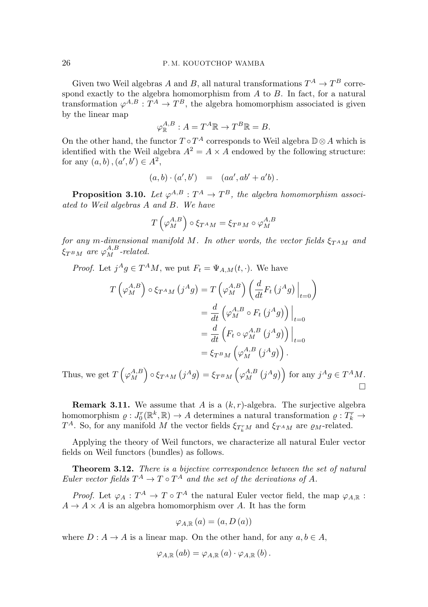Given two Weil algebras A and B, all natural transformations  $T^A \to T^B$  correspond exactly to the algebra homomorphism from A to B. In fact, for a natural transformation  $\varphi^{A,B}: T^A \to T^B$ , the algebra homomorphism associated is given by the linear map

$$
\varphi_{\mathbb{R}}^{A,B}: A = T^A \mathbb{R} \to T^B \mathbb{R} = B.
$$

On the other hand, the functor  $T \circ T^A$  corresponds to Weil algebra  $\mathbb{D} \otimes A$  which is identified with the Weil algebra  $A^2 = A \times A$  endowed by the following structure: for any  $(a, b)$ ,  $(a', b') \in A^2$ ,

$$
(a, b) \cdot (a', b') = (aa', ab' + a'b).
$$

**Proposition 3.10.** Let  $\varphi^{A,B} : T^A \to T^B$ , the algebra homomorphism associated to Weil algebras A and B. We have

$$
T\left(\varphi^{A,B}_M\right)\circ\xi_{T^AM}=\xi_{T^BM}\circ\varphi^{A,B}_M
$$

for any m-dimensional manifold M. In other words, the vector fields  $\xi_{T^A M}$  and  $\xi_{T^BM}$  are  $\varphi^{A,B}_M$ -related.

*Proof.* Let  $j^A g \in T^A M$ , we put  $F_t = \Psi_{A,M}(t, \cdot)$ . We have

$$
T\left(\varphi_M^{A,B}\right) \circ \xi_{T^A M} \left(j^A g\right) = T\left(\varphi_M^{A,B}\right) \left(\frac{d}{dt} F_t \left(j^A g\right)\Big|_{t=0}\right)
$$
  

$$
= \frac{d}{dt} \left(\varphi_M^{A,B} \circ F_t \left(j^A g\right)\right)\Big|_{t=0}
$$
  

$$
= \frac{d}{dt} \left(F_t \circ \varphi_M^{A,B} \left(j^A g\right)\right)\Big|_{t=0}
$$
  

$$
= \xi_{T^B M} \left(\varphi_M^{A,B} \left(j^A g\right)\right).
$$

Thus, we get  $T\left(\varphi^{A,B}_M\right) \circ \xi_{T^AM}\left(j^Ag\right) = \xi_{T^BM}\left(\varphi^{A,B}_M\left(j^Ag\right)\right)$  for any  $j^Ag \in T^AM$ .  $\Box$ 

**Remark 3.11.** We assume that A is a  $(k, r)$ -algebra. The surjective algebra homomorphism  $\varrho: J_0^r(\mathbb{R}^k, \mathbb{R}) \to A$  determines a natural transformation  $\varrho: T_k^r \to$  $T^A$ . So, for any manifold M the vector fields  $\xi_{T_k^rM}$  and  $\xi_{T^AM}$  are  $\varrho_M$ -related.

Applying the theory of Weil functors, we characterize all natural Euler vector fields on Weil functors (bundles) as follows.

Theorem 3.12. There is a bijective correspondence between the set of natural Euler vector fields  $T^A \to T \circ T^A$  and the set of the derivations of A.

*Proof.* Let  $\varphi_A : T^A \to T \circ T^A$  the natural Euler vector field, the map  $\varphi_{A,R}$ :  $A \rightarrow A \times A$  is an algebra homomorphism over A. It has the form

$$
\varphi_{A,\mathbb{R}}(a) = (a, D(a))
$$

where  $D: A \to A$  is a linear map. On the other hand, for any  $a, b \in A$ ,

$$
\varphi_{A,\mathbb{R}}(ab) = \varphi_{A,\mathbb{R}}(a) \cdot \varphi_{A,\mathbb{R}}(b).
$$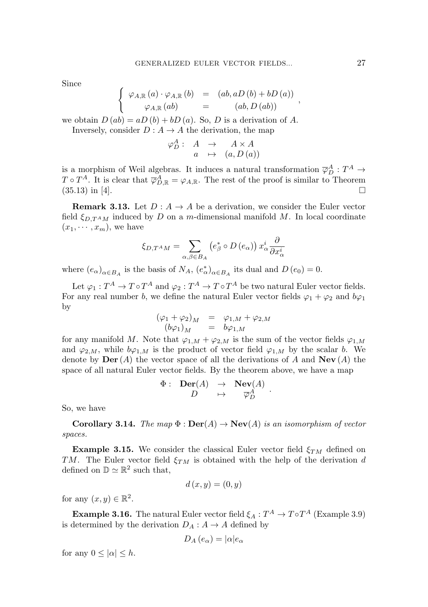Since

$$
\begin{cases}\n\varphi_{A,\mathbb{R}}(a) \cdot \varphi_{A,\mathbb{R}}(b) = (ab, aD(b) + bD(a)) \\
\varphi_{A,\mathbb{R}}(ab) = (ab, D(ab))\n\end{cases}
$$

we obtain  $D(ab) = aD(b) + bD(a)$ . So, D is a derivation of A. Inversely, consider  $D: A \to A$  the derivation, the map

$$
\varphi_D^A: \begin{array}{ccc} A & \to & A \times A \\ a & \mapsto & (a, D(a)) \end{array}
$$

is a morphism of Weil algebras. It induces a natural transformation  $\overline{\varphi}_D^A: T^A \to$  $T \circ T^A$ . It is clear that  $\overline{\varphi}_{D,\mathbb{R}}^A = \varphi_{A,\mathbb{R}}$ . The rest of the proof is similar to Theorem  $(35.13)$  in [4].

**Remark 3.13.** Let  $D: A \rightarrow A$  be a derivation, we consider the Euler vector field  $\xi_{D,T^A M}$  induced by D on a m-dimensional manifold M. In local coordinate  $(x_1, \dots, x_m)$ , we have

$$
\xi_{D,T^{A}M} = \sum_{\alpha,\beta \in B_{A}} \left( e_{\beta}^{*} \circ D\left(e_{\alpha}\right) \right) x_{\alpha}^{i} \frac{\partial}{\partial x_{\alpha}^{i}}
$$

where  $(e_{\alpha})_{\alpha \in B_A}$  is the basis of  $N_A$ ,  $(e_{\alpha}^*)_{\alpha \in B_A}$  its dual and  $D(e_0) = 0$ .

Let  $\varphi_1: T^A \to T \circ T^A$  and  $\varphi_2: T^A \to T \circ T^A$  be two natural Euler vector fields. For any real number b, we define the natural Euler vector fields  $\varphi_1 + \varphi_2$  and  $b\varphi_1$ by

$$
\begin{array}{rcl}\n(\varphi_1 + \varphi_2)_M & = & \varphi_{1,M} + \varphi_{2,M} \\
(b\varphi_1)_M & = & b\varphi_{1,M}\n\end{array}
$$

for any manifold M. Note that  $\varphi_{1,M} + \varphi_{2,M}$  is the sum of the vector fields  $\varphi_{1,M}$ and  $\varphi_{2,M}$ , while  $b\varphi_{1,M}$  is the product of vector field  $\varphi_{1,M}$  by the scalar b. We denote by  $\textbf{Der}(A)$  the vector space of all the derivations of A and  $\textbf{Nev}(A)$  the space of all natural Euler vector fields. By the theorem above, we have a map

$$
\begin{array}{cccc}\Phi :& {\bf Der}(A)&\to& {\bf New}(A)\\ &D&\mapsto&\overline{\varphi}_D^A\end{array}
$$

.

So, we have

**Corollary 3.14.** The map  $\Phi$  :  $\text{Der}(A) \to \text{New}(A)$  is an isomorphism of vector spaces.

**Example 3.15.** We consider the classical Euler vector field  $\xi_{TM}$  defined on TM. The Euler vector field  $\xi_{TM}$  is obtained with the help of the derivation d defined on  $\mathbb{D} \simeq \mathbb{R}^2$  such that,

$$
d(x, y) = (0, y)
$$

for any  $(x, y) \in \mathbb{R}^2$ .

**Example 3.16.** The natural Euler vector field  $\xi_A : T^A \to T \circ T^A$  (Example 3.9) is determined by the derivation  $D_A: A \to A$  defined by

$$
D_A\left(e_{\alpha}\right) = |\alpha|e_{\alpha}
$$

for any  $0 \leq |\alpha| \leq h$ .

,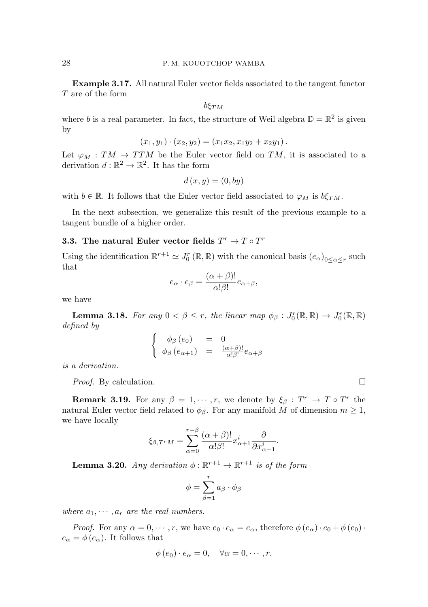## 28 P. M. KOUOTCHOP WAMBA

Example 3.17. All natural Euler vector fields associated to the tangent functor T are of the form

 $b\xi_{TM}$ 

where b is a real parameter. In fact, the structure of Weil algebra  $\mathbb{D} = \mathbb{R}^2$  is given by

$$
(x_1, y_1) \cdot (x_2, y_2) = (x_1 x_2, x_1 y_2 + x_2 y_1).
$$

Let  $\varphi_M : TM \to TTM$  be the Euler vector field on  $TM$ , it is associated to a derivation  $d: \mathbb{R}^2 \to \mathbb{R}^2$ . It has the form

$$
d\left(x,y\right)=\left(0,by\right)
$$

with  $b \in \mathbb{R}$ . It follows that the Euler vector field associated to  $\varphi_M$  is  $b\xi_{TM}$ .

In the next subsection, we generalize this result of the previous example to a tangent bundle of a higher order.

# 3.3. The natural Euler vector fields  $T^r \to T \circ T^r$

Using the identification  $\mathbb{R}^{r+1} \simeq J_0^r(\mathbb{R}, \mathbb{R})$  with the canonical basis  $(e_\alpha)_{0 \leq \alpha \leq r}$  such that

$$
e_{\alpha} \cdot e_{\beta} = \frac{(\alpha + \beta)!}{\alpha! \beta!} e_{\alpha + \beta},
$$

we have

**Lemma 3.18.** For any  $0 < \beta \leq r$ , the linear map  $\phi_{\beta}: J_0^r(\mathbb{R}, \mathbb{R}) \to J_0^r(\mathbb{R}, \mathbb{R})$ defined by

$$
\begin{cases}\n\phi_{\beta}(e_0) = 0 \\
\phi_{\beta}(e_{\alpha+1}) = \frac{(\alpha+\beta)!}{\alpha!\beta!}e_{\alpha+\beta}\n\end{cases}
$$

is a derivation.

*Proof.* By calculation.  $\square$ 

**Remark 3.19.** For any  $\beta = 1, \dots, r$ , we denote by  $\xi_{\beta}: T^r \to T \circ T^r$  the natural Euler vector field related to  $\phi_{\beta}$ . For any manifold M of dimension  $m \geq 1$ , we have locally

$$
\xi_{\beta,T^rM} = \sum_{\alpha=0}^{r-\beta} \frac{(\alpha+\beta)!}{\alpha!\beta!} x_{\alpha+1}^i \frac{\partial}{\partial x_{\alpha+1}^i}.
$$

**Lemma 3.20.** Any derivation  $\phi : \mathbb{R}^{r+1} \to \mathbb{R}^{r+1}$  is of the form

$$
\phi = \sum_{\beta=1}^r a_\beta \cdot \phi_\beta
$$

where  $a_1, \dots, a_r$  are the real numbers.

*Proof.* For any  $\alpha = 0, \dots, r$ , we have  $e_0 \cdot e_\alpha = e_\alpha$ , therefore  $\phi(e_\alpha) \cdot e_0 + \phi(e_0) \cdot$  $e_{\alpha} = \phi(e_{\alpha})$ . It follows that

$$
\phi(e_0) \cdot e_\alpha = 0, \quad \forall \alpha = 0, \cdots, r.
$$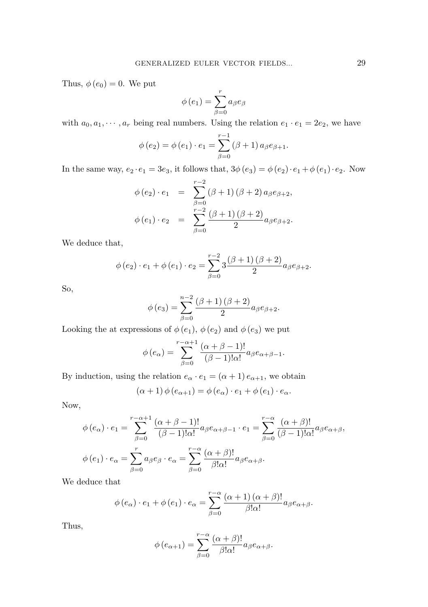Thus,  $\phi(e_0) = 0$ . We put

$$
\phi\left(e_{1}\right)=\sum_{\beta=0}^{r}a_{\beta}e_{\beta}
$$

with  $a_0, a_1, \dots, a_r$  being real numbers. Using the relation  $e_1 \cdot e_1 = 2e_2$ , we have

$$
\phi(e_2) = \phi(e_1) \cdot e_1 = \sum_{\beta=0}^{r-1} (\beta+1) a_{\beta} e_{\beta+1}.
$$

In the same way,  $e_2 \cdot e_1 = 3e_3$ , it follows that,  $3\phi(e_3) = \phi(e_2) \cdot e_1 + \phi(e_1) \cdot e_2$ . Now

$$
\phi(e_2) \cdot e_1 = \sum_{\beta=0}^{r-2} (\beta+1) (\beta+2) a_{\beta} e_{\beta+2},
$$
  

$$
\phi(e_1) \cdot e_2 = \sum_{\beta=0}^{r-2} \frac{(\beta+1) (\beta+2)}{2} a_{\beta} e_{\beta+2}.
$$

We deduce that,

$$
\phi(e_2) \cdot e_1 + \phi(e_1) \cdot e_2 = \sum_{\beta=0}^{r-2} 3 \frac{(\beta+1)(\beta+2)}{2} a_{\beta} e_{\beta+2}.
$$

So,

$$
\phi(e_3) = \sum_{\beta=0}^{n-2} \frac{(\beta+1)(\beta+2)}{2} a_{\beta} e_{\beta+2}.
$$

Looking the at expressions of  $\phi(e_1)$ ,  $\phi(e_2)$  and  $\phi(e_3)$  we put

$$
\phi(e_{\alpha}) = \sum_{\beta=0}^{r-\alpha+1} \frac{(\alpha+\beta-1)!}{(\beta-1)!\alpha!} a_{\beta} e_{\alpha+\beta-1}.
$$

By induction, using the relation  $e_{\alpha} \cdot e_1 = (\alpha + 1) e_{\alpha+1}$ , we obtain

$$
(\alpha + 1) \phi (e_{\alpha+1}) = \phi (e_{\alpha}) \cdot e_1 + \phi (e_1) \cdot e_{\alpha}.
$$

Now,

$$
\phi(e_{\alpha}) \cdot e_1 = \sum_{\beta=0}^{r-\alpha+1} \frac{(\alpha+\beta-1)!}{(\beta-1)!\alpha!} a_{\beta} e_{\alpha+\beta-1} \cdot e_1 = \sum_{\beta=0}^{r-\alpha} \frac{(\alpha+\beta)!}{(\beta-1)!\alpha!} a_{\beta} e_{\alpha+\beta},
$$

$$
\phi(e_1) \cdot e_{\alpha} = \sum_{\beta=0}^r a_{\beta} e_{\beta} \cdot e_{\alpha} = \sum_{\beta=0}^{r-\alpha} \frac{(\alpha+\beta)!}{\beta!\alpha!} a_{\beta} e_{\alpha+\beta}.
$$

We deduce that

$$
\phi(e_{\alpha}) \cdot e_1 + \phi(e_1) \cdot e_{\alpha} = \sum_{\beta=0}^{r-\alpha} \frac{(\alpha+1) (\alpha+\beta)!}{\beta! \alpha!} a_{\beta} e_{\alpha+\beta}.
$$

Thus,

$$
\phi(e_{\alpha+1}) = \sum_{\beta=0}^{r-\alpha} \frac{(\alpha+\beta)!}{\beta!\alpha!} a_{\beta}e_{\alpha+\beta}.
$$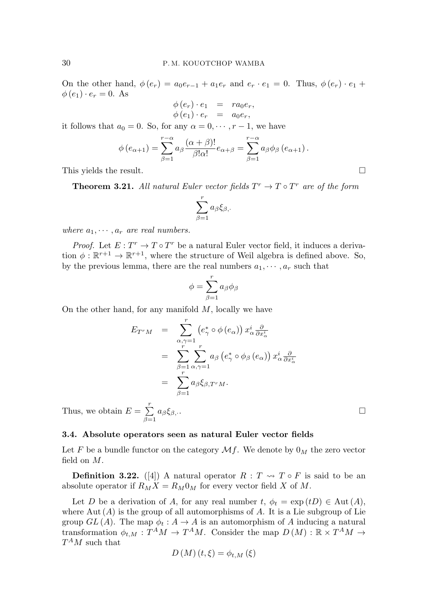On the other hand,  $\phi(e_r) = a_0e_{r-1} + a_1e_r$  and  $e_r \cdot e_1 = 0$ . Thus,  $\phi(e_r) \cdot e_1 +$  $\phi(e_1) \cdot e_r = 0$ . As

$$
\begin{array}{rcl}\n\phi(e_r) \cdot e_1 &=& ra_0e_r, \\
\phi(e_1) \cdot e_r &=& a_0e_r,\n\end{array}
$$

it follows that  $a_0 = 0$ . So, for any  $\alpha = 0, \dots, r-1$ , we have

$$
\phi(e_{\alpha+1}) = \sum_{\beta=1}^{r-\alpha} a_{\beta} \frac{(\alpha+\beta)!}{\beta! \alpha!} e_{\alpha+\beta} = \sum_{\beta=1}^{r-\alpha} a_{\beta} \phi_{\beta} (e_{\alpha+1}).
$$

This yields the result.

**Theorem 3.21.** All natural Euler vector fields  $T^r \to T \circ T^r$  are of the form

$$
\sum_{\beta=1}^r a_\beta \xi_{\beta,\cdot}
$$

where  $a_1, \dots, a_r$  are real numbers.

*Proof.* Let  $E: T^r \to T \circ T^r$  be a natural Euler vector field, it induces a derivation  $\phi : \mathbb{R}^{r+1} \to \mathbb{R}^{r+1}$ , where the structure of Weil algebra is defined above. So, by the previous lemma, there are the real numbers  $a_1, \dots, a_r$  such that

$$
\phi = \sum_{\beta=1}^r a_\beta \phi_\beta
$$

On the other hand, for any manifold  $M$ , locally we have

$$
E_{T^rM} = \sum_{\substack{\alpha,\gamma=1 \ r \ \beta=1 \ \alpha,\gamma=1}}^r \left(e_{\gamma}^* \circ \phi(e_{\alpha})\right) x_{\alpha}^i \frac{\partial}{\partial x_{\alpha}^i}
$$
  

$$
= \sum_{\substack{\beta=1 \ \alpha,\gamma=1}}^r a_{\beta} \left(e_{\gamma}^* \circ \phi_{\beta}(e_{\alpha})\right) x_{\alpha}^i \frac{\partial}{\partial x_{\alpha}^i}
$$
  

$$
= \sum_{\beta=1}^r a_{\beta} \xi_{\beta,T^rM}.
$$

. В последните поставите на селото на селото на селото на селото на селото на селото на селото на селото на се<br>Селото на селото на селото на селото на селото на селото на селото на селото на селото на селото на селото на

Thus, we obtain  $E = \sum_{r=1}^{r}$  $\sum_{\beta=1}a_{\beta}\xi_{\beta,\cdot}$ 

### 3.4. Absolute operators seen as natural Euler vector fields

Let F be a bundle functor on the category  $\mathcal{M}f$ . We denote by  $0_M$  the zero vector field on M.

**Definition 3.22.** ([4]) A natural operator  $R: T \rightarrow T \circ F$  is said to be an absolute operator if  $R_M X = R_M 0_M$  for every vector field X of M.

Let D be a derivation of A, for any real number t,  $\phi_t = \exp(tD) \in \text{Aut}(A)$ , where Aut  $(A)$  is the group of all automorphisms of A. It is a Lie subgroup of Lie group  $GL(A)$ . The map  $\phi_t : A \to A$  is an automorphism of A inducing a natural transformation  $\phi_{t,M}: T^A M \to T^A M$ . Consider the map  $D(M): \mathbb{R} \times T^A M \to$  $T^A M$  such that

$$
D\left(M\right)\left(t,\xi\right) = \phi_{t,M}\left(\xi\right)
$$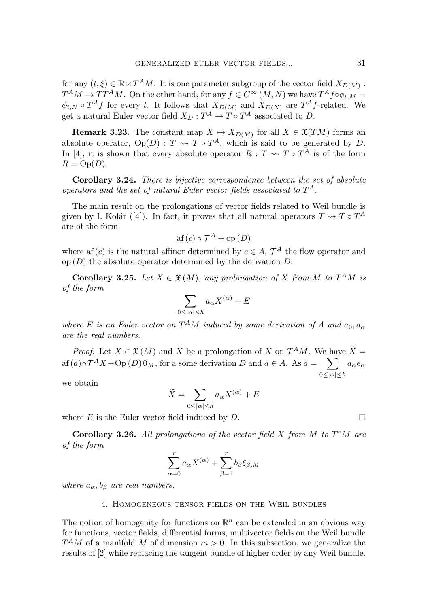for any  $(t,\xi) \in \mathbb{R} \times T^{A}M$ . It is one parameter subgroup of the vector field  $X_{D(M)}$ :  $T^AM \to T T^AM$ . On the other hand, for any  $f \in C^\infty \left( M,N \right)$  we have  $T^A f \circ \phi_{t,M} =$  $\phi_{t,N} \circ T^A f$  for every t. It follows that  $X_{D(M)}$  and  $X_{D(N)}$  are  $T^A f$ -related. We get a natural Euler vector field  $X_D: T^A \to T \circ T^A$  associated to D.

**Remark 3.23.** The constant map  $X \mapsto X_{D(M)}$  for all  $X \in \mathfrak{X}(TM)$  forms an absolute operator,  $Op(D)$ :  $T \rightsquigarrow T \circ T^A$ , which is said to be generated by D. In [4], it is shown that every absolute operator  $R: T \rightsquigarrow T \circ T^A$  is of the form  $R = \text{Op}(D)$ .

Corollary 3.24. There is bijective correspondence between the set of absolute operators and the set of natural Euler vector fields associated to  $T^A$ .

The main result on the prolongations of vector fields related to Weil bundle is given by I. Kolář ([4]). In fact, it proves that all natural operators  $T \rightsquigarrow T \circ T^A$ are of the form

$$
af(c) \circ \mathcal{T}^A + op(D)
$$

where af (c) is the natural affinor determined by  $c \in A$ ,  $\mathcal{T}^A$  the flow operator and op  $(D)$  the absolute operator determined by the derivation  $D$ .

**Corollary 3.25.** Let  $X \in \mathfrak{X}(M)$ , any prolongation of X from M to  $T^A M$  is of the form

$$
\sum_{0 \le |\alpha| \le h} a_{\alpha} X^{(\alpha)} + E
$$

where E is an Euler vector on  $T^A M$  induced by some derivation of A and  $a_0, a_\alpha$ are the real numbers.

*Proof.* Let  $X \in \mathfrak{X}(M)$  and  $\widetilde{X}$  be a prolongation of X on  $T^A M$ . We have  $\widetilde{X} =$  $af(a) \circ \mathcal{T}^{A} X + Op(D) 0_M$ , for a some derivation D and  $a \in A$ . As  $a = \sum_{i=1}^{n}$  $0 \leq |\alpha| \leq h$  $a_{\alpha}e_{\alpha}$ 

we obtain

$$
\widetilde{X} = \sum_{0 \le |\alpha| \le h} a_{\alpha} X^{(\alpha)} + E
$$

where E is the Euler vector field induced by  $D$ .

Corollary 3.26. All prolongations of the vector field  $X$  from  $M$  to  $T^{r}M$  are of the form

$$
\sum_{\alpha=0}^r a_{\alpha} X^{(\alpha)} + \sum_{\beta=1}^r b_{\beta} \xi_{\beta,M}
$$

where  $a_{\alpha}, b_{\beta}$  are real numbers.

#### 4. Homogeneous tensor fields on the Weil bundles

The notion of homogenity for functions on  $\mathbb{R}^n$  can be extended in an obvious way for functions, vector fields, differential forms, multivector fields on the Weil bundle  $T^{A}M$  of a manifold M of dimension  $m > 0$ . In this subsection, we generalize the results of [2] while replacing the tangent bundle of higher order by any Weil bundle.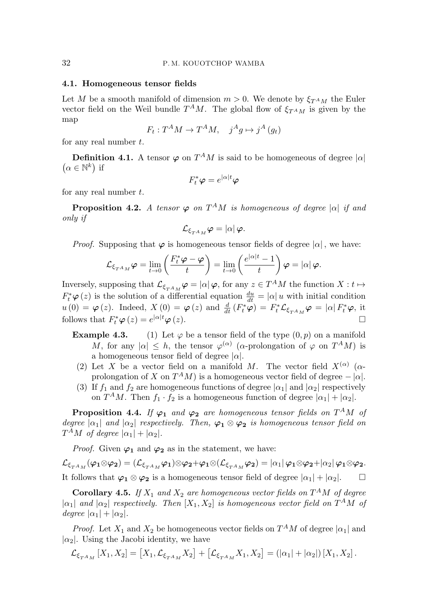#### 4.1. Homogeneous tensor fields

Let M be a smooth manifold of dimension  $m > 0$ . We denote by  $\xi_{T^A M}$  the Euler vector field on the Weil bundle  $T^A M$ . The global flow of  $\xi_{T^A M}$  is given by the map

$$
F_t: T^A M \to T^A M, \quad j^A g \mapsto j^A(g_t)
$$

for any real number  $t$ .

**Definition 4.1.** A tensor  $\varphi$  on  $T^A M$  is said to be homogeneous of degree  $|\alpha|$  $(\alpha \in \mathbb{N}^k)$  if

$$
F_t^*\varphi = e^{|\alpha|t}\varphi
$$

for any real number  $t$ .

**Proposition 4.2.** A tensor  $\varphi$  on  $T^A M$  is homogeneous of degree  $|\alpha|$  if and only if

$$
\mathcal{L}_{\xi_{T^{A}M}}\pmb{\varphi}=\left|\alpha\right|\pmb{\varphi}.
$$

*Proof.* Supposing that  $\varphi$  is homogeneous tensor fields of degree  $|\alpha|$ , we have:

$$
\mathcal{L}_{\xi_{T^A M}} \varphi = \lim_{t \to 0} \left( \frac{F_t^* \varphi - \varphi}{t} \right) = \lim_{t \to 0} \left( \frac{e^{|\alpha|t} - 1}{t} \right) \varphi = |\alpha| \varphi.
$$

Inversely, supposing that  $\mathcal{L}_{\xi_{T^A M}} \varphi = |\alpha| \varphi$ , for any  $z \in T^A M$  the function  $X : t \mapsto$  $F_t^* \varphi(z)$  is the solution of a differential equation  $\frac{du}{dt} = |\alpha| u$  with initial condition  $u(0) = \varphi(z)$ . Indeed,  $X(0) = \varphi(z)$  and  $\frac{d}{dt}(F_t^*\varphi) = F_t^*\mathcal{L}_{\xi_{T^AM}}\varphi = |\alpha| F_t^*\varphi$ , it follows that  $F_t^* \varphi(z) = e^{|\alpha|t} \varphi(z)$ .

- **Example 4.3.** (1) Let  $\varphi$  be a tensor field of the type  $(0, p)$  on a manifold M, for any  $|\alpha| \leq h$ , the tensor  $\varphi^{(\alpha)}$  (α-prolongation of  $\varphi$  on  $T^A M$ ) is a homogeneous tensor field of degree  $|\alpha|$ .
	- (2) Let X be a vector field on a manifold M. The vector field  $X^{(\alpha)}$  ( $\alpha$ prolongation of X on  $T^A M$ ) is a homogeneous vector field of degree  $- |\alpha|$ .
	- (3) If  $f_1$  and  $f_2$  are homogeneous functions of degree  $|\alpha_1|$  and  $|\alpha_2|$  respectively on  $T^{A}M$ . Then  $f_1 \cdot f_2$  is a homogeneous function of degree  $|\alpha_1| + |\alpha_2|$ .

**Proposition 4.4.** If  $\varphi_1$  and  $\varphi_2$  are homogeneous tensor fields on  $T^A M$  of degree  $|\alpha_1|$  and  $|\alpha_2|$  respectively. Then,  $\varphi_1 \otimes \varphi_2$  is homogeneous tensor field on  $T^{A}M$  of degree  $|\alpha_{1}| + |\alpha_{2}|.$ 

*Proof.* Given  $\varphi_1$  and  $\varphi_2$  as in the statement, we have:

 $\mathcal{L}_{\xi_{T^A M}}(\varphi_1 \otimes \varphi_2) = (\mathcal{L}_{\xi_{T^A M}}\varphi_1) \otimes \varphi_2 + \varphi_1 \otimes (\mathcal{L}_{\xi_{T^A M}}\varphi_2) = |\alpha_1|\,\varphi_1 \otimes \varphi_2 + |\alpha_2|\,\varphi_1 \otimes \varphi_2.$ It follows that  $\varphi_1 \otimes \varphi_2$  is a homogeneous tensor field of degree  $|\alpha_1| + |\alpha_2|$ .  $\square$ 

**Corollary 4.5.** If  $X_1$  and  $X_2$  are homogeneous vector fields on  $T^A M$  of degree  $|\alpha_1|$  and  $|\alpha_2|$  respectively. Then  $[X_1, X_2]$  is homogeneous vector field on  $T^A M$  of degree  $|\alpha_1| + |\alpha_2|$ .

*Proof.* Let  $X_1$  and  $X_2$  be homogeneous vector fields on  $T^A M$  of degree  $|\alpha_1|$  and  $|\alpha_2|$ . Using the Jacobi identity, we have

$$
\mathcal{L}_{\xi_{T^{A}M}}\left[X_{1}, X_{2}\right] = \left[X_{1}, \mathcal{L}_{\xi_{T^{A}M}}X_{2}\right] + \left[\mathcal{L}_{\xi_{T^{A}M}}X_{1}, X_{2}\right] = \left(|\alpha_{1}| + |\alpha_{2}|\right)\left[X_{1}, X_{2}\right].
$$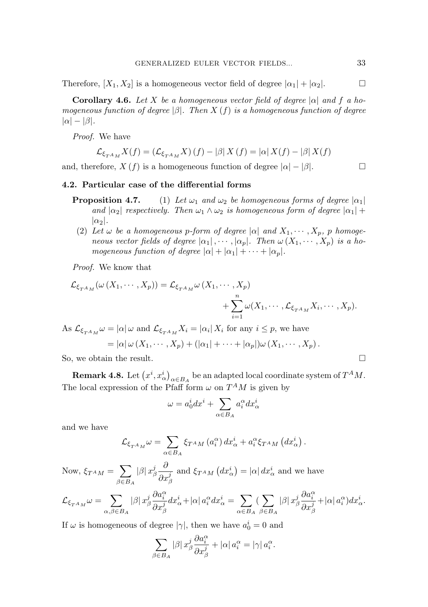Therefore,  $[X_1, X_2]$  is a homogeneous vector field of degree  $|\alpha_1| + |\alpha_2|$ .

**Corollary 4.6.** Let X be a homogeneous vector field of degree  $|\alpha|$  and f a homogeneous function of degree  $|\beta|$ . Then X (f) is a homogeneous function of degree  $|\alpha| - |\beta|$ .

Proof. We have

$$
\mathcal{L}_{\xi_{T^{A}M}}X(f) = (\mathcal{L}_{\xi_{T^{A}M}}X)(f) - |\beta| X(f) = |\alpha| X(f) - |\beta| X(f)
$$

and, therefore,  $X(f)$  is a homogeneous function of degree  $|\alpha| - |\beta|$ .

# 4.2. Particular case of the differential forms

- **Proposition 4.7.** (1) Let  $\omega_1$  and  $\omega_2$  be homogeneous forms of degree  $|\alpha_1|$ and  $|\alpha_2|$  respectively. Then  $\omega_1 \wedge \omega_2$  is homogeneous form of degree  $|\alpha_1| +$  $|\alpha_2|$ .
	- (2) Let  $\omega$  be a homogeneous p-form of degree  $|\alpha|$  and  $X_1, \dots, X_p$ , p homogeneous vector fields of degree  $|\alpha_1|, \cdots, |\alpha_p|$ . Then  $\omega(X_1, \cdots, X_p)$  is a homogeneous function of degree  $|\alpha| + |\alpha_1| + \cdots + |\alpha_p|$ .

Proof. We know that

$$
\mathcal{L}_{\xi_{T^{A}M}}(\omega(X_1,\dots,X_p)) = \mathcal{L}_{\xi_{T^{A}M}}\omega(X_1,\dots,X_p) + \sum_{i=1}^n \omega(X_1,\dots,\mathcal{L}_{\xi_{T^{A}M}}X_i,\dots,X_p).
$$

As  $\mathcal{L}_{\xi_{T^A M}} \omega = |\alpha| \omega$  and  $\mathcal{L}_{\xi_{T^A M}} X_i = |\alpha_i| X_i$  for any  $i \leq p$ , we have  $= |\alpha| \omega (X_1, \cdots, X_n) + (|\alpha_1| + \cdots + |\alpha_n|) \omega (X_1, \cdots, X_n).$ 

So, we obtain the result.  $\Box$ 

**Remark 4.8.** Let  $(x^i, x^i_\alpha)_{\alpha \in B_A}$  be an adapted local coordinate system of  $T^A M$ . The local expression of the Pfaff form  $\omega$  on  $T^A M$  is given by

$$
\omega = a_0^i dx^i + \sum_{\alpha \in B_A} a_i^{\alpha} dx^i_{\alpha}
$$

and we have

$$
\mathcal{L}_{\xi_{T^A M}} \omega = \sum_{\alpha \in B_A} \xi_{T^A M} \left( a_i^{\alpha} \right) dx_{\alpha}^i + a_i^{\alpha} \xi_{T^A M} \left( dx_{\alpha}^i \right).
$$

Now,  $\xi_{T^AM} = \sum$  $\beta \in B_A$  $|\beta| \, x_\beta^j$ ∂  $\partial x^j_\beta$ and  $\xi_{T^A M} (dx^i_\alpha) = |\alpha| dx^i_\alpha$  and we have

$$
\mathcal{L}_{\xi_{T^A M}} \omega = \sum_{\alpha, \beta \in B_A} |\beta| \, x_\beta^j \frac{\partial a_i^\alpha}{\partial x_\beta^j} dx_\alpha^i + |\alpha| \, a_i^\alpha dx_\alpha^i = \sum_{\alpha \in B_A} \left( \sum_{\beta \in B_A} |\beta| \, x_\beta^j \frac{\partial a_i^\alpha}{\partial x_\beta^j} + |\alpha| \, a_i^\alpha \right) dx_\alpha^i.
$$

If  $\omega$  is homogeneous of degree  $|\gamma|$ , then we have  $a_0^i = 0$  and

$$
\sum_{\beta \in B_A} |\beta| x_{\beta}^j \frac{\partial a_i^{\alpha}}{\partial x_{\beta}^j} + |\alpha| a_i^{\alpha} = |\gamma| a_i^{\alpha}.
$$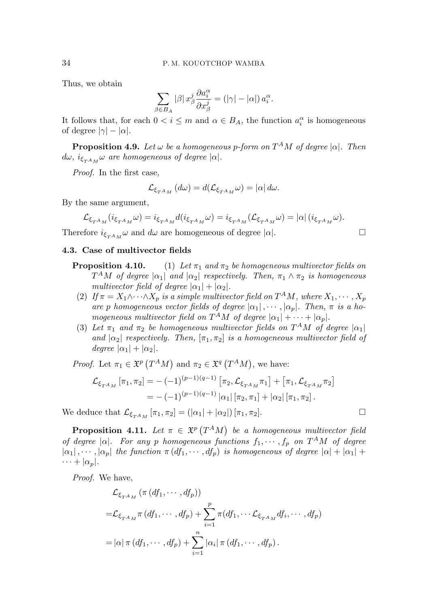Thus, we obtain

$$
\sum_{\beta \in B_A} |\beta| \, x_\beta^j \frac{\partial a_i^\alpha}{\partial x_\beta^j} = (|\gamma| - |\alpha|) \, a_i^\alpha.
$$

It follows that, for each  $0 < i \leq m$  and  $\alpha \in B_A$ , the function  $a_i^{\alpha}$  is homogeneous of degree  $|\gamma| - |\alpha|$ .

**Proposition 4.9.** Let  $\omega$  be a homogeneous p-form on  $T^A M$  of degree  $|\alpha|$ . Then  $d\omega, i_{\xi_{T^{A}M}}\omega$  are homogeneous of degree  $|\alpha|.$ 

Proof. In the first case,

$$
\mathcal{L}_{\xi_{T^{A}M}}(d\omega) = d(\mathcal{L}_{\xi_{T^{A}M}}\omega) = |\alpha| d\omega.
$$

By the same argument,

$$
\mathcal{L}_{\xi_{T^AM}}(i_{\xi_{T^AM}}\omega)=i_{\xi_{T^AM}}d(i_{\xi_{T^AM}}\omega)=i_{\xi_{T^AM}}(\mathcal{L}_{\xi_{T^AM}}\omega)=|\alpha|\,(i_{\xi_{T^AM}}\omega).
$$

Therefore  $i_{\xi_{T^A M}}\omega$  and  $d\omega$  are homogeneous of degree  $|\alpha|$ .

## 4.3. Case of multivector fields

- **Proposition 4.10.** (1) Let  $\pi_1$  and  $\pi_2$  be homogeneous multivector fields on  $T^{A}M$  of degree  $|\alpha_{1}|$  and  $|\alpha_{2}|$  respectively. Then,  $\pi_{1}\wedge\pi_{2}$  is homogeneous multivector field of degree  $|\alpha_1| + |\alpha_2|$ .
	- (2) If  $\pi = X_1 \wedge \cdots \wedge X_p$  is a simple multivector field on  $T^A M$ , where  $X_1, \cdots, X_p$ are p homogeneous vector fields of degree  $|\alpha_1|, \cdots, |\alpha_p|$ . Then,  $\pi$  is a homogeneous multivector field on  $T^A M$  of degree  $|\alpha_1| + \cdots + |\alpha_p|$ .
	- (3) Let  $\pi_1$  and  $\pi_2$  be homogeneous multivector fields on  $T^A M$  of degree  $|\alpha_1|$ and  $|\alpha_2|$  respectively. Then,  $[\pi_1, \pi_2]$  is a homogeneous multivector field of degree  $|\alpha_1| + |\alpha_2|$ .

*Proof.* Let  $\pi_1 \in \mathfrak{X}^p(T^AM)$  and  $\pi_2 \in \mathfrak{X}^q(T^AM)$ , we have:

$$
\mathcal{L}_{\xi_{T}A_{M}}\left[\pi_{1},\pi_{2}\right] = -(-1)^{(p-1)(q-1)}\left[\pi_{2},\mathcal{L}_{\xi_{T}A_{M}}\pi_{1}\right] + \left[\pi_{1},\mathcal{L}_{\xi_{T}A_{M}}\pi_{2}\right]
$$

$$
= -(-1)^{(p-1)(q-1)}\left|\alpha_{1}\right|\left[\pi_{2},\pi_{1}\right] + \left|\alpha_{2}\right|\left[\pi_{1},\pi_{2}\right].
$$

We deduce that  $\mathcal{L}_{\xi_{T^A M}} [\pi_1, \pi_2] = (|\alpha_1| + |\alpha_2|) [\pi_1, \pi_2].$ 

**Proposition 4.11.** Let  $\pi \in \mathfrak{X}^p(T^AM)$  be a homogeneous multivector field of degree  $|\alpha|$ . For any p homogeneous functions  $f_1, \dots, f_p$  on  $T^A M$  of degree  $|\alpha_1|, \dots, |\alpha_p|$  the function  $\pi(df_1, \dots, df_p)$  is homogeneous of degree  $|\alpha| + |\alpha_1| +$  $\cdots + |\alpha_p|.$ 

Proof. We have,

$$
\mathcal{L}_{\xi_{T^{A}M}}\left(\pi\left(df_{1},\cdots,df_{p}\right)\right)
$$
\n
$$
=\mathcal{L}_{\xi_{T^{A}M}}\pi\left(df_{1},\cdots,df_{p}\right)+\sum_{i=1}^{p}\pi(df_{1},\cdots,\mathcal{L}_{\xi_{T^{A}M}}df_{i},\cdots,df_{p})
$$
\n
$$
=|\alpha|\pi\left(df_{1},\cdots,df_{p}\right)+\sum_{i=1}^{n}|\alpha_{i}|\pi\left(df_{1},\cdots,df_{p}\right).
$$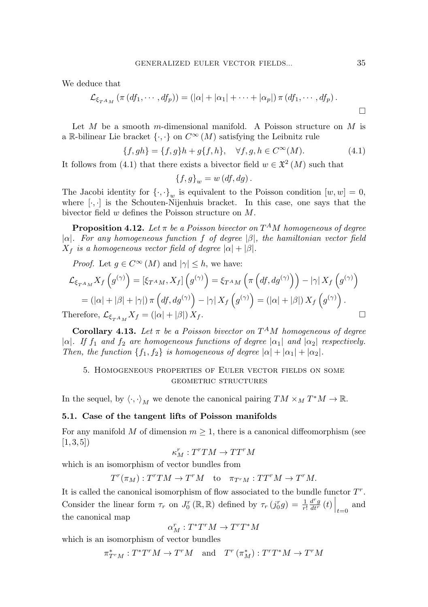We deduce that

$$
\mathcal{L}_{\xi_{T^A M}} (\pi (df_1, \cdots, df_p)) = (|\alpha| + |\alpha_1| + \cdots + |\alpha_p|) \pi (df_1, \cdots, df_p).
$$

Let M be a smooth m-dimensional manifold. A Poisson structure on M is a R-bilinear Lie bracket  $\{\cdot,\cdot\}$  on  $C^{\infty}(M)$  satisfying the Leibnitz rule

$$
\{f, gh\} = \{f, g\}h + g\{f, h\}, \quad \forall f, g, h \in C^{\infty}(M). \tag{4.1}
$$

It follows from (4.1) that there exists a bivector field  $w \in \mathfrak{X}^2(M)$  such that

$$
\{f,g\}_w = w\,(df,dg)\,.
$$

The Jacobi identity for  $\{\cdot,\cdot\}_w$  is equivalent to the Poisson condition  $[w,w] = 0$ , where  $[\cdot, \cdot]$  is the Schouten-Nijenhuis bracket. In this case, one says that the bivector field w defines the Poisson structure on M.

**Proposition 4.12.** Let  $\pi$  be a Poisson bivector on  $T^A M$  homogeneous of degree  $|\alpha|$ . For any homogeneous function f of degree  $|\beta|$ , the hamiltonian vector field  $X_f$  is a homogeneous vector field of degree  $|\alpha| + |\beta|$ .

*Proof.* Let  $g \in C^{\infty}(M)$  and  $|\gamma| \leq h$ , we have:

$$
\mathcal{L}_{\xi_{T^{A}M}} X_f \left( g^{(\gamma)} \right) = \left[ \xi_{T^{A}M}, X_f \right] \left( g^{(\gamma)} \right) = \xi_{T^{A}M} \left( \pi \left( df, dg^{(\gamma)} \right) \right) - |\gamma| X_f \left( g^{(\gamma)} \right)
$$
  
\n
$$
= (|\alpha| + |\beta| + |\gamma|) \pi \left( df, dg^{(\gamma)} \right) - |\gamma| X_f \left( g^{(\gamma)} \right) = (|\alpha| + |\beta|) X_f \left( g^{(\gamma)} \right).
$$
  
\nTherefore,  $\mathcal{L}_{\xi_{T^{A}M}} X_f = (|\alpha| + |\beta|) X_f.$ 

**Corollary 4.13.** Let  $\pi$  be a Poisson bivector on  $T^A M$  homogeneous of degree | $\alpha$ |. If  $f_1$  and  $f_2$  are homogeneous functions of degree  $|\alpha_1|$  and  $|\alpha_2|$  respectively. Then, the function  $\{f_1, f_2\}$  is homogeneous of degree  $|\alpha| + |\alpha_1| + |\alpha_2|$ .

# 5. Homogeneous properties of Euler vector fields on some GEOMETRIC STRUCTURES

In the sequel, by  $\langle \cdot, \cdot \rangle_M$  we denote the canonical pairing  $TM \times_M T^*M \to \mathbb{R}$ .

### 5.1. Case of the tangent lifts of Poisson manifolds

For any manifold M of dimension  $m \geq 1$ , there is a canonical diffeomorphism (see  $[1, 3, 5]$ 

$$
\kappa_M^r: T^rTM \to TT^rM
$$

which is an isomorphism of vector bundles from

$$
T^r(\pi_M): T^rTM \to T^rM
$$
 to  $\pi_{T^rM}: TT^rM \to T^rM$ .

It is called the canonical isomorphism of flow associated to the bundle functor  $T<sup>r</sup>$ . Consider the linear form  $\tau_r$  on  $J_0^r(\mathbb{R}, \mathbb{R})$  defined by  $\tau_r(j_0^r g) = \frac{1}{r!} \frac{d^r g}{dt^r}(t) \Big|_{t=0}$  and the canonical map

$$
\alpha_M^r : T^*T^rM \to T^rT^*M
$$

which is an isomorphism of vector bundles

 $\pi^*_{T^rM}: T^*T^rM \to T^rM$  and  $T^r(\pi_M^*): T^*T^*M \to T^rM$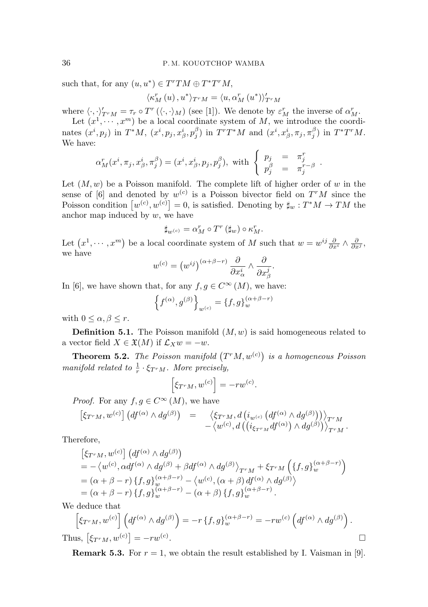such that, for any  $(u, u^*) \in T^*TM \oplus T^*T^*M$ ,

$$
\langle \kappa_M^r\left(u\right),u^*\rangle_{T^rM}=\langle u,\alpha_M^r\left(u^*\right)\rangle_{T^rM}'
$$

where  $\langle \cdot, \cdot \rangle'_{T^rM} = \tau_r \circ T^r \left( \langle \cdot, \cdot \rangle_M \right)$  (see [1]). We denote by  $\varepsilon_M^r$  the inverse of  $\alpha_M^r$ .

Let  $(x^1, \dots, x^m)$  be a local coordinate system of M, we introduce the coordinates  $(x^i, p_j)$  in  $T^*M$ ,  $(x^i, p_j, x^i_\beta, p^\beta_j)$  in  $T^rT^*M$  and  $(x^i, x^i_\beta, \pi_j, \pi^\beta_j)$  in  $T^*T^rM$ . We have:

$$
\alpha_M^r(x^i, \pi_j, x_\beta^i, \pi_j^\beta) = (x^i, x_\beta^i, p_j, p_j^\beta), \text{ with } \begin{cases} p_j = \pi_j^r \\ p_j^\beta = \pi_j^{r-\beta} \end{cases}.
$$

Let  $(M, w)$  be a Poisson manifold. The complete lift of higher order of w in the sense of [6] and denoted by  $w^{(c)}$  is a Poisson bivector field on  $T^{r}M$  since the Poisson condition  $[w^{(c)}, w^{(c)}] = 0$ , is satisfied. Denoting by  $\sharp_w : T^*M \to TM$  the anchor map induced by  $w$ , we have

$$
\sharp_{w^{(c)}} = \alpha_M^r \circ T^r (\sharp_w) \circ \kappa_M^r.
$$

Let  $(x^1, \dots, x^m)$  be a local coordinate system of M such that  $w = w^{ij} \frac{\partial}{\partial x^i} \wedge \frac{\partial}{\partial x^j}$ , we have

$$
w^{(c)} = (w^{ij})^{(\alpha + \beta - r)} \frac{\partial}{\partial x_{\alpha}^i} \wedge \frac{\partial}{\partial x_{\beta}^j}.
$$

In [6], we have shown that, for any  $f, g \in C^{\infty}(M)$ , we have:

$$
\left\{f^{(\alpha)}, g^{(\beta)}\right\}_{w^{(c)}} = \left\{f, g\right\}_{w}^{(\alpha+\beta-r)}
$$

with  $0 \leq \alpha, \beta \leq r$ .

**Definition 5.1.** The Poisson manifold  $(M, w)$  is said homogeneous related to a vector field  $X \in \mathfrak{X}(M)$  if  $\mathcal{L}_X w = -w$ .

**Theorem 5.2.** The Poisson manifold  $(T^{r}M, w^{(c)})$  is a homogeneous Poisson manifold related to  $\frac{1}{r} \cdot \xi_{T^rM}$ . More precisely,

$$
\left[\xi_{T^rM}, w^{(c)}\right] = -rw^{(c)}.
$$

*Proof.* For any  $f, g \in C^{\infty}(M)$ , we have

$$
\begin{array}{rcl}\left[\xi_{T^rM},w^{(c)}\right]\left(df^{(\alpha)}\wedge dg^{(\beta)}\right)&=&\left.\left\langle\xi_{T^rM},d\left(i_{w^{(c)}}\left(df^{(\alpha)}\wedge dg^{(\beta)}\right)\right)\right\rangle_{T^rM}\\&-\left\langle w^{(c)},d\left(\left(i_{\xi_{T^rM}}df^{(\alpha)}\right)\wedge dg^{(\beta)}\right)\right\rangle_{T^rM}.\end{array}
$$

Therefore,

$$
\begin{split}\n\left[\xi_{T^rM}, w^{(c)}\right] \left(df^{(\alpha)} \wedge dg^{(\beta)}\right) \\
&= -\left\langle w^{(c)}, \alpha df^{(\alpha)} \wedge dg^{(\beta)} + \beta df^{(\alpha)} \wedge dg^{(\beta)} \right\rangle_{T^rM} + \xi_{T^rM} \left(\{f, g\}_{w}^{(\alpha+\beta-r)}\right) \\
&= (\alpha + \beta - r) \left\{f, g\}_{w}^{(\alpha+\beta-r)} - \left\langle w^{(c)}, (\alpha+\beta) df^{(\alpha)} \wedge dg^{(\beta)} \right\rangle \\
&= (\alpha + \beta - r) \left\{f, g\}_{w}^{(\alpha+\beta-r)} - (\alpha+\beta) \left\{f, g\}_{w}^{(\alpha+\beta-r)}\right.\n\end{split}
$$

We deduce that

$$
\[ \xi_{T^rM}, w^{(c)} \] \left( df^{(\alpha)} \wedge dg^{(\beta)} \right) = -r \{ f, g \}^{(\alpha+\beta-r)}_w = -rw^{(c)} \left( df^{(\alpha)} \wedge dg^{(\beta)} \right). \Box
$$
  
Thus, 
$$
[ \xi_{T^rM}, w^{(c)} ] = -rw^{(c)}.
$$

**Remark 5.3.** For  $r = 1$ , we obtain the result established by I. Vaisman in [9].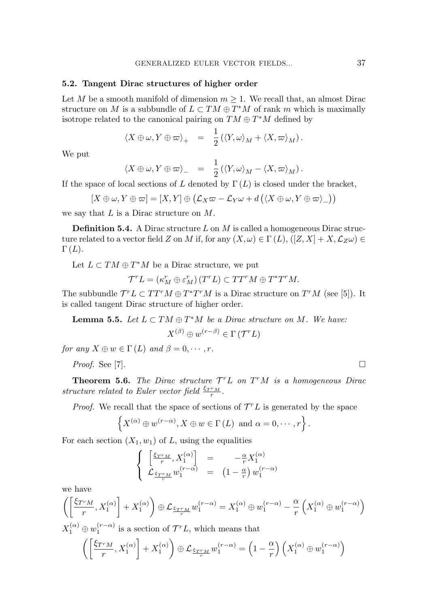#### 5.2. Tangent Dirac structures of higher order

Let M be a smooth manifold of dimension  $m \geq 1$ . We recall that, an almost Dirac structure on M is a subbundle of  $L \subset TM \oplus T^*M$  of rank m which is maximally isotrope related to the canonical pairing on  $TM \oplus T^*M$  defined by

$$
\langle X \oplus \omega, Y \oplus \omega \rangle_{+} = \frac{1}{2} (\langle Y, \omega \rangle_{M} + \langle X, \omega \rangle_{M}).
$$

We put

$$
\langle X \oplus \omega, Y \oplus \omega \rangle_{-} = \frac{1}{2} (\langle Y, \omega \rangle_{M} - \langle X, \omega \rangle_{M}).
$$

If the space of local sections of L denoted by  $\Gamma(L)$  is closed under the bracket,

$$
[X \oplus \omega, Y \oplus \omega] = [X, Y] \oplus (\mathcal{L}_X \omega - \mathcal{L}_Y \omega + d\left(\langle X \oplus \omega, Y \oplus \omega \rangle_{-}\right))
$$

we say that  $L$  is a Dirac structure on  $M$ .

**Definition 5.4.** A Dirac structure  $L$  on  $M$  is called a homogeneous Dirac structure related to a vector field Z on M if, for any  $(X, \omega) \in \Gamma(L)$ ,  $([Z, X] + X, \mathcal{L}_Z \omega) \in$  $\Gamma(L)$ .

Let  $L \subset TM \oplus T^*M$  be a Dirac structure, we put

$$
\mathcal{T}^r L = (\kappa_M^r \oplus \varepsilon_M^r) (T^r L) \subset T T^r M \oplus T^* T^r M.
$$

The subbundle  $\mathcal{T}^r L \subset T T^r M \oplus T^* T^r M$  is a Dirac structure on  $T^r M$  (see [5]). It is called tangent Dirac structure of higher order.

**Lemma 5.5.** Let 
$$
L \subset TM \oplus T^*M
$$
 be a Dirac structure on M. We have:  

$$
X^{(\beta)} \oplus w^{(r-\beta)} \in \Gamma(\mathcal{T}^r L)
$$

for any  $X \oplus w \in \Gamma(L)$  and  $\beta = 0, \dots, r$ .

*Proof.* See [7].

**Theorem 5.6.** The Dirac structure  $T^rL$  on  $T^rM$  is a homogeneous Dirac structure related to Euler vector field  $\frac{\xi_{T^rM}}{r}$ .

*Proof.* We recall that the space of sections of  $\mathcal{T}^rL$  is generated by the space

$$
\left\{X^{(\alpha)}\oplus w^{(r-\alpha)}, X\oplus w\in \Gamma\left(L\right) \text{ and } \alpha=0,\cdots,r\right\}.
$$

For each section  $(X_1, w_1)$  of L, using the equalities

$$
\begin{cases}\n\left[\frac{\xi_{T^r M}}{r}, X_1^{(\alpha)}\right] = -\frac{\alpha}{r} X_1^{(\alpha)} \\
\mathcal{L}_{\frac{\xi_{T^r M}}{r}} w_1^{(r-\alpha)} = (1-\frac{\alpha}{r}) w_1^{(r-\alpha)}\n\end{cases}
$$

we have

$$
\left( \left[ \frac{\xi_{T^rM}}{r}, X_1^{(\alpha)} \right] + X_1^{(\alpha)} \right) \oplus \mathcal{L}_{\frac{\xi_{T^rM}}{r}} w_1^{(r-\alpha)} = X_1^{(\alpha)} \oplus w_1^{(r-\alpha)} - \frac{\alpha}{r} \left( X_1^{(\alpha)} \oplus w_1^{(r-\alpha)} \right)
$$

 $X_1^{(\alpha)} \oplus w_1^{(r-\alpha)}$  is a section of  $\mathcal{T}^r L$ , which means that

$$
\left( \left[ \frac{\xi_{T^rM}}{r}, X_1^{(\alpha)} \right] + X_1^{(\alpha)} \right) \oplus \mathcal{L}_{\frac{\xi_{T^rM}}{r}} w_1^{(r-\alpha)} = \left( 1 - \frac{\alpha}{r} \right) \left( X_1^{(\alpha)} \oplus w_1^{(r-\alpha)} \right)
$$